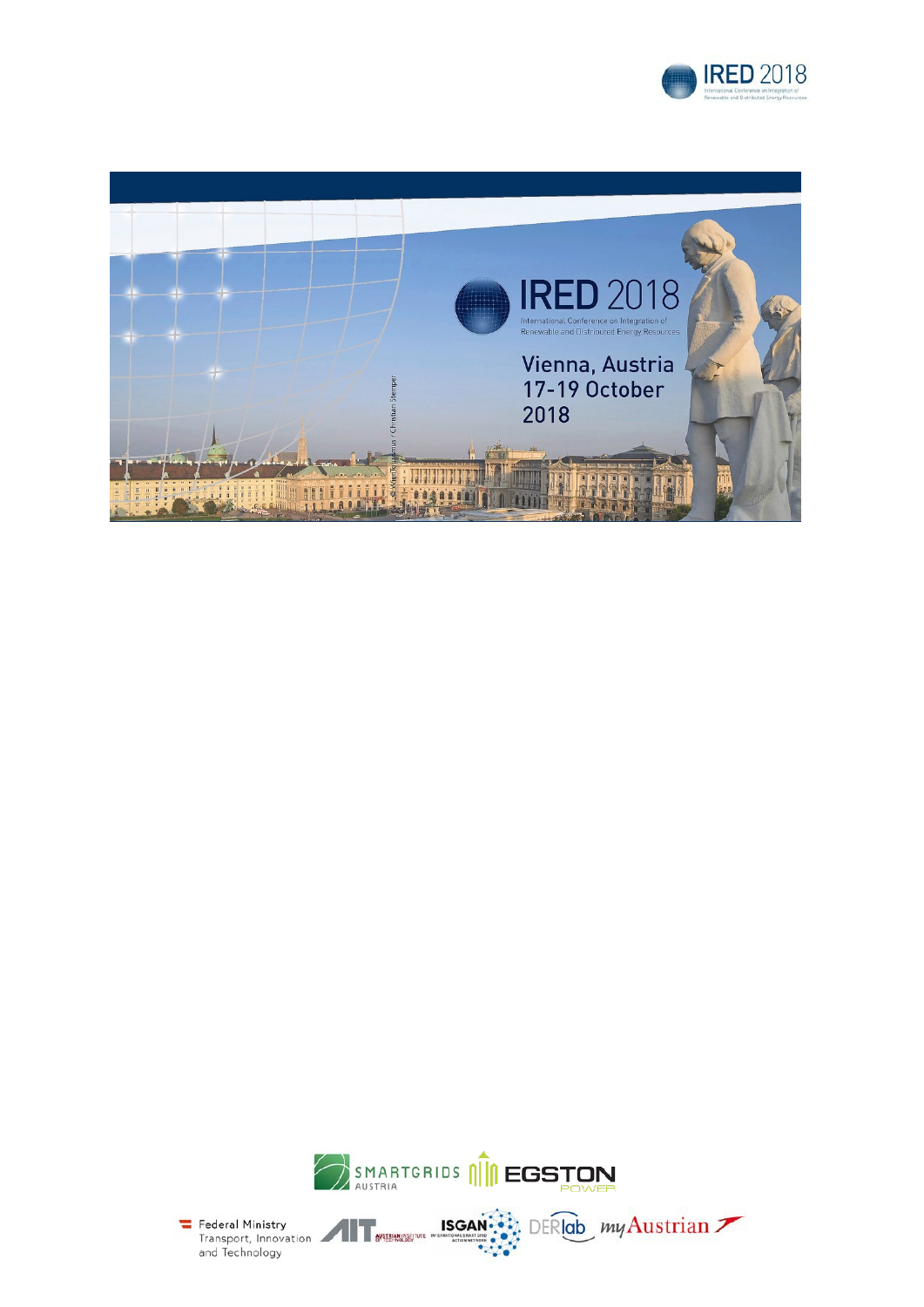





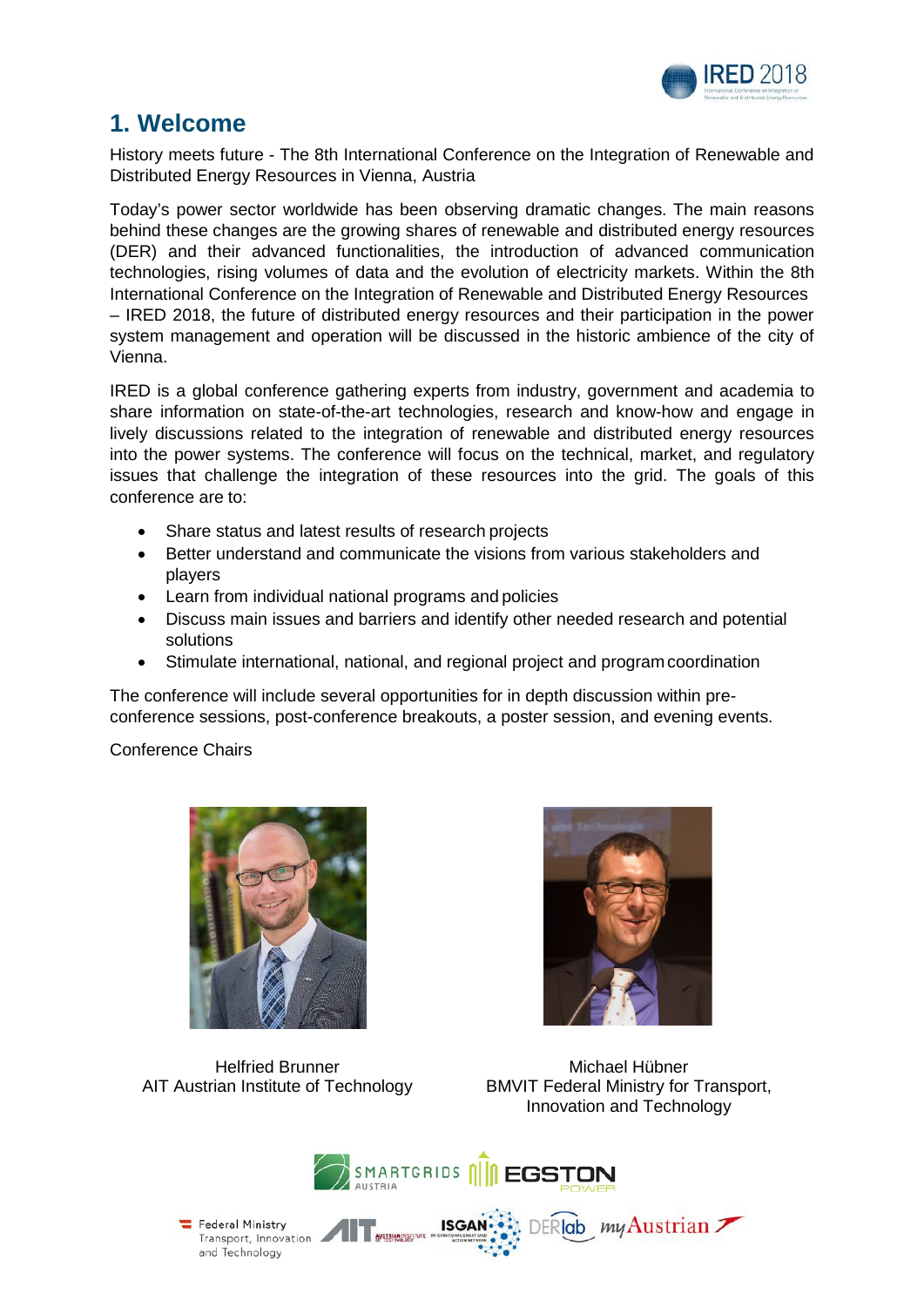

### **1. Welcome**

History meets future - The 8th International Conference on the Integration of Renewable and Distributed Energy Resources in Vienna, Austria

Today's power sector worldwide has been observing dramatic changes. The main reasons behind these changes are the growing shares of renewable and distributed energy resources (DER) and their advanced functionalities, the introduction of advanced communication technologies, rising volumes of data and the evolution of electricity markets. Within the 8th International Conference on the Integration of Renewable and Distributed Energy Resources – IRED 2018, the future of distributed energy resources and their participation in the power system management and operation will be discussed in the historic ambience of the city of Vienna.

IRED is a global conference gathering experts from industry, government and academia to share information on state-of-the-art technologies, research and know-how and engage in lively discussions related to the integration of renewable and distributed energy resources into the power systems. The conference will focus on the technical, market, and regulatory issues that challenge the integration of these resources into the grid. The goals of this conference are to:

- Share status and latest results of research projects
- Better understand and communicate the visions from various stakeholders and players
- Learn from individual national programs and policies
- Discuss main issues and barriers and identify other needed research and potential solutions
- Stimulate international, national, and regional project and program coordination

The conference will include several opportunities for in depth discussion within preconference sessions, post-conference breakouts, a poster session, and evening events.

Conference Chairs





Helfried Brunner AIT Austrian Institute of Technology

Michael Hübner BMVIT Federal Ministry for Transport, Innovation and Technology

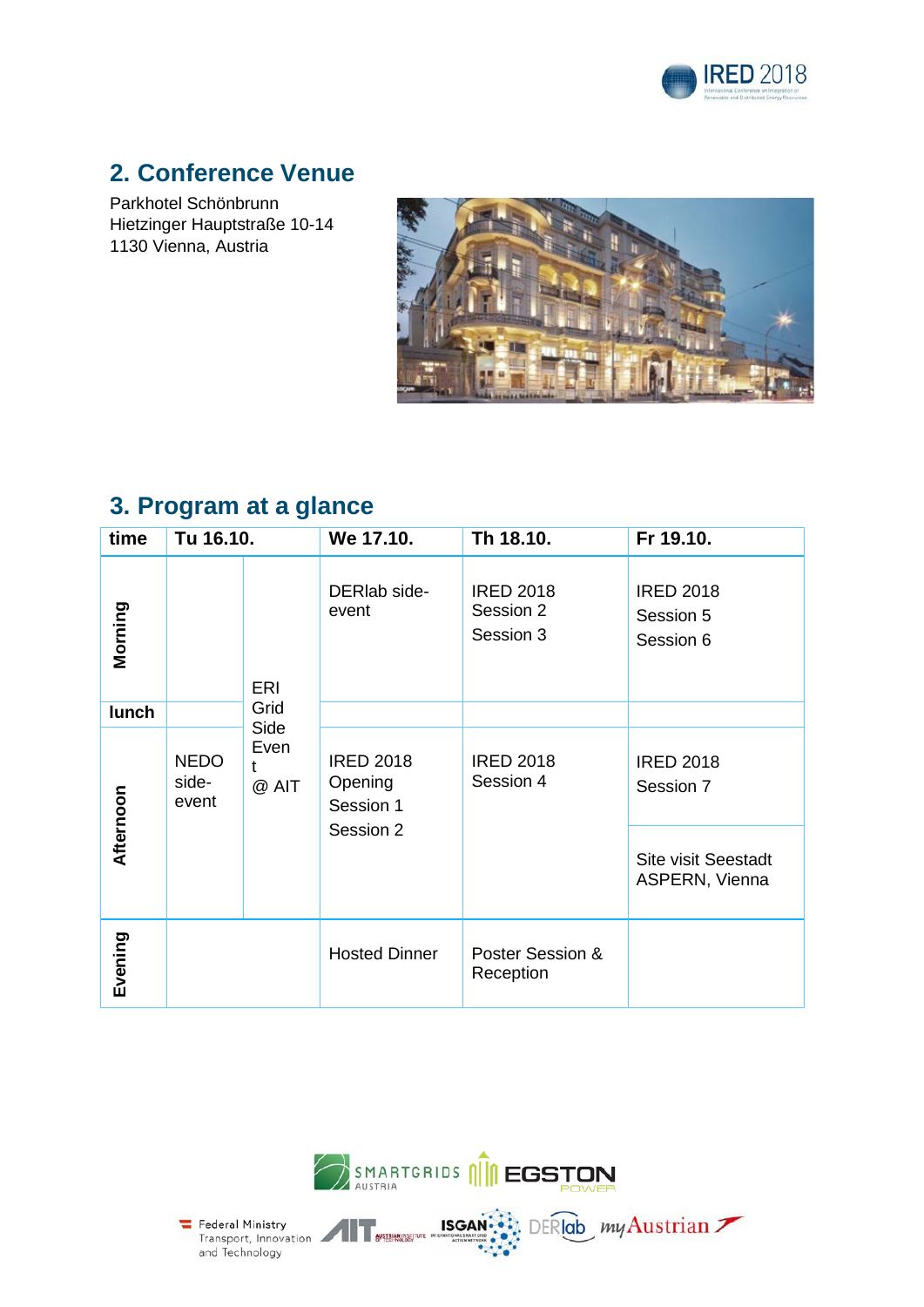

# **2. Conference Venue**

Parkhotel Schönbrunn Hietzinger Hauptstraße 10-14 1130 Vienna, Austria



# **3. Program at a glance**

| time      | Tu 16.10.                     |                                                                                                         | We 17.10.             | Th 18.10.                                  | Fr 19.10.                                    |
|-----------|-------------------------------|---------------------------------------------------------------------------------------------------------|-----------------------|--------------------------------------------|----------------------------------------------|
| Morning   |                               | <b>ERI</b>                                                                                              | DERIab side-<br>event | <b>IRED 2018</b><br>Session 2<br>Session 3 | <b>IRED 2018</b><br>Session 5<br>Session 6   |
| lunch     |                               | Grid                                                                                                    |                       |                                            |                                              |
|           | <b>NEDO</b><br>side-<br>event | Side<br>Even<br><b>IRED 2018</b><br><b>IRED 2018</b><br>t<br>Session 4<br>Opening<br>@ AIT<br>Session 1 |                       | <b>IRED 2018</b><br>Session 7              |                                              |
| Afternoon |                               |                                                                                                         | Session 2             |                                            | <b>Site visit Seestadt</b><br>ASPERN, Vienna |
| Evening   |                               |                                                                                                         | <b>Hosted Dinner</b>  | Poster Session &<br>Reception              |                                              |



**ISGAN** 

DERIOD my Austrian

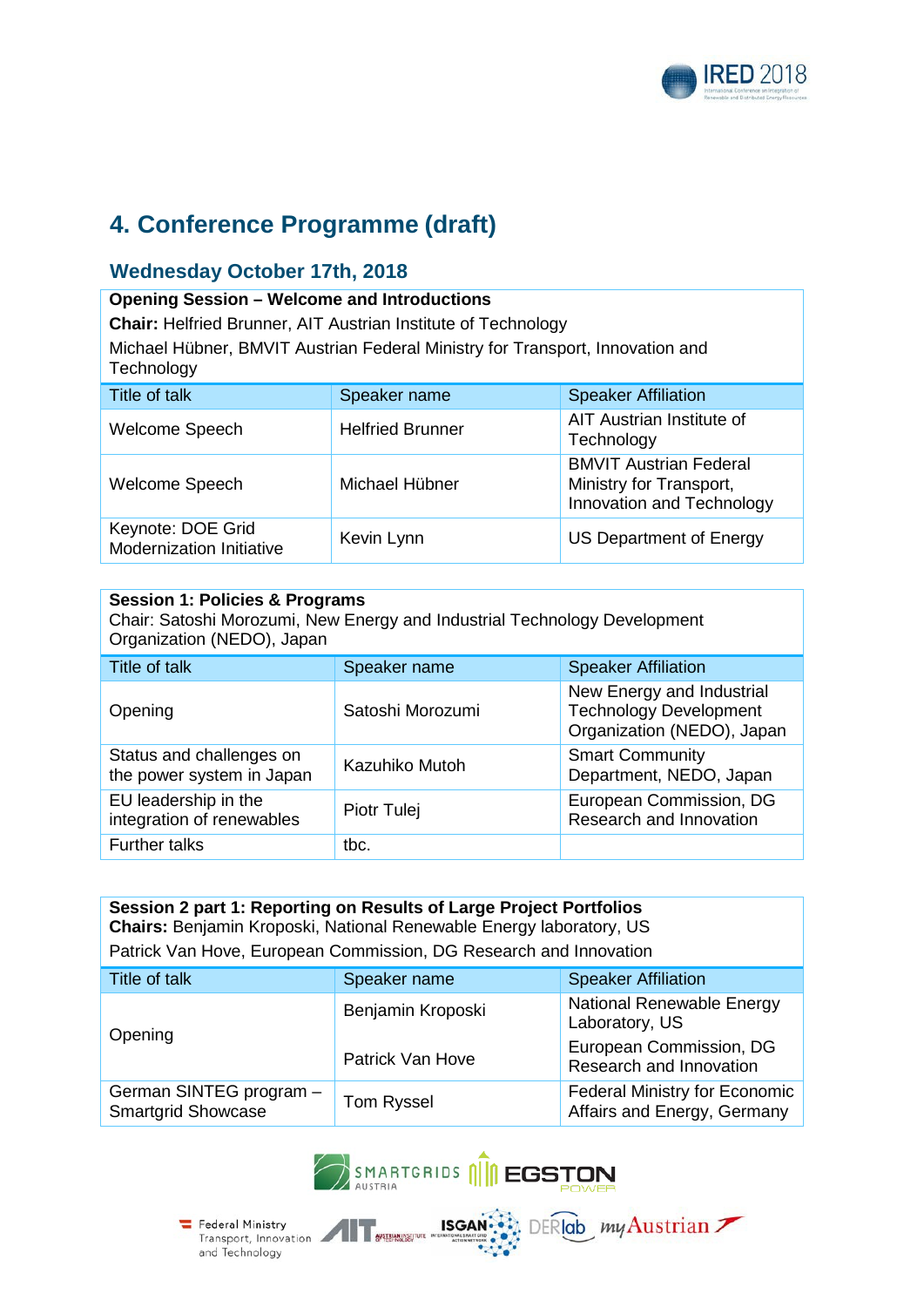

# **4. Conference Programme (draft)**

#### **Wednesday October 17th, 2018**

#### **Opening Session – Welcome and Introductions**

**Chair:** Helfried Brunner, AIT Austrian Institute of Technology

Michael Hübner, BMVIT Austrian Federal Ministry for Transport, Innovation and **Technology** 

| Title of talk                                 | Speaker name            | <b>Speaker Affiliation</b>                                                            |
|-----------------------------------------------|-------------------------|---------------------------------------------------------------------------------------|
| Welcome Speech                                | <b>Helfried Brunner</b> | AIT Austrian Institute of<br>Technology                                               |
| Welcome Speech                                | Michael Hübner          | <b>BMVIT Austrian Federal</b><br>Ministry for Transport,<br>Innovation and Technology |
| Keynote: DOE Grid<br>Modernization Initiative | Kevin Lynn              | US Department of Energy                                                               |

| <b>Session 1: Policies &amp; Programs</b><br>Chair: Satoshi Morozumi, New Energy and Industrial Technology Development<br>Organization (NEDO), Japan |                  |                                                                                          |  |  |
|------------------------------------------------------------------------------------------------------------------------------------------------------|------------------|------------------------------------------------------------------------------------------|--|--|
| Title of talk                                                                                                                                        | Speaker name     | <b>Speaker Affiliation</b>                                                               |  |  |
| Opening                                                                                                                                              | Satoshi Morozumi | New Energy and Industrial<br><b>Technology Development</b><br>Organization (NEDO), Japan |  |  |
| Status and challenges on<br>the power system in Japan                                                                                                | Kazuhiko Mutoh   | <b>Smart Community</b><br>Department, NEDO, Japan                                        |  |  |
| EU leadership in the<br>integration of renewables                                                                                                    | Piotr Tulej      | European Commission, DG<br>Research and Innovation                                       |  |  |
| <b>Further talks</b>                                                                                                                                 | tbc.             |                                                                                          |  |  |

| Session 2 part 1: Reporting on Results of Large Project Portfolios<br>Chairs: Benjamin Kroposki, National Renewable Energy laboratory, US |                         |                                                                     |  |  |
|-------------------------------------------------------------------------------------------------------------------------------------------|-------------------------|---------------------------------------------------------------------|--|--|
| Patrick Van Hove, European Commission, DG Research and Innovation                                                                         |                         |                                                                     |  |  |
| Title of talk<br><b>Speaker Affiliation</b><br>Speaker name                                                                               |                         |                                                                     |  |  |
| Opening                                                                                                                                   | Benjamin Kroposki       | National Renewable Energy<br>Laboratory, US                         |  |  |
|                                                                                                                                           | <b>Patrick Van Hove</b> | European Commission, DG<br>Research and Innovation                  |  |  |
| German SINTEG program -<br><b>Smartgrid Showcase</b>                                                                                      | Tom Ryssel              | <b>Federal Ministry for Economic</b><br>Affairs and Energy, Germany |  |  |



**ISGAN** 

Federal Ministry<br>Transport, Innovation

and Technology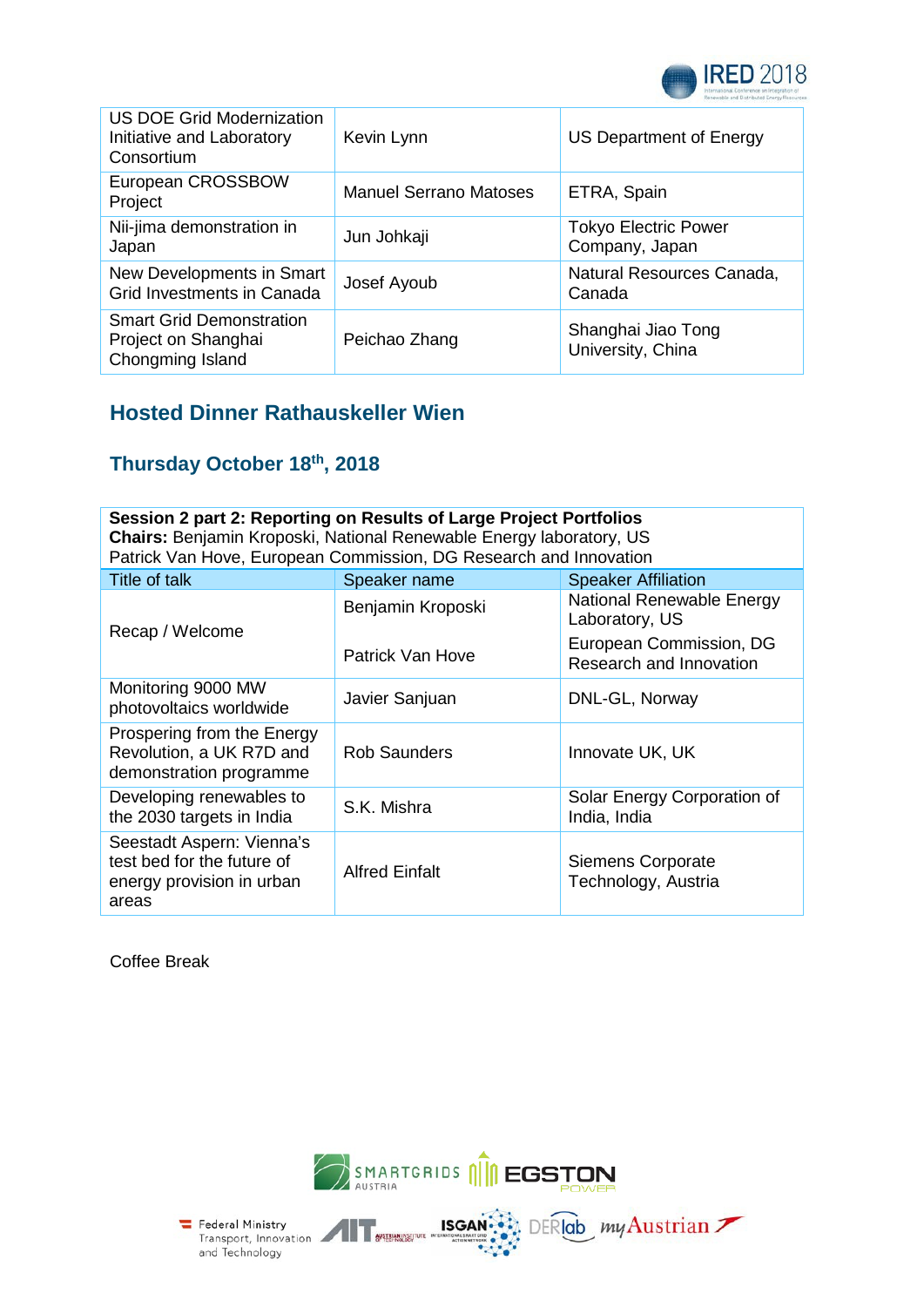

| <b>US DOE Grid Modernization</b><br>Initiative and Laboratory<br>Consortium | Kevin Lynn                    | US Department of Energy                       |
|-----------------------------------------------------------------------------|-------------------------------|-----------------------------------------------|
| European CROSSBOW<br>Project                                                | <b>Manuel Serrano Matoses</b> | ETRA, Spain                                   |
| Nii-jima demonstration in<br>Japan                                          | Jun Johkaji                   | <b>Tokyo Electric Power</b><br>Company, Japan |
| New Developments in Smart<br>Grid Investments in Canada                     | Josef Ayoub                   | Natural Resources Canada,<br>Canada           |
| <b>Smart Grid Demonstration</b><br>Project on Shanghai<br>Chongming Island  | Peichao Zhang                 | Shanghai Jiao Tong<br>University, China       |

### **Hosted Dinner Rathauskeller Wien**

### **Thursday October 18th, 2018**

| Session 2 part 2: Reporting on Results of Large Project Portfolios<br>Chairs: Benjamin Kroposki, National Renewable Energy laboratory, US<br>Patrick Van Hove, European Commission, DG Research and Innovation |                       |                                                    |  |  |
|----------------------------------------------------------------------------------------------------------------------------------------------------------------------------------------------------------------|-----------------------|----------------------------------------------------|--|--|
| Title of talk                                                                                                                                                                                                  | Speaker name          | <b>Speaker Affiliation</b>                         |  |  |
| Recap / Welcome                                                                                                                                                                                                | Benjamin Kroposki     | National Renewable Energy<br>Laboratory, US        |  |  |
|                                                                                                                                                                                                                | Patrick Van Hove      | European Commission, DG<br>Research and Innovation |  |  |
| Monitoring 9000 MW<br>photovoltaics worldwide                                                                                                                                                                  | Javier Sanjuan        | DNL-GL, Norway                                     |  |  |
| Prospering from the Energy<br>Revolution, a UK R7D and<br>demonstration programme                                                                                                                              | <b>Rob Saunders</b>   | Innovate UK, UK                                    |  |  |
| Developing renewables to<br>the 2030 targets in India                                                                                                                                                          | S.K. Mishra           | Solar Energy Corporation of<br>India, India        |  |  |
| Seestadt Aspern: Vienna's<br>test bed for the future of<br>energy provision in urban<br>areas                                                                                                                  | <b>Alfred Einfalt</b> | Siemens Corporate<br>Technology, Austria           |  |  |

Coffee Break





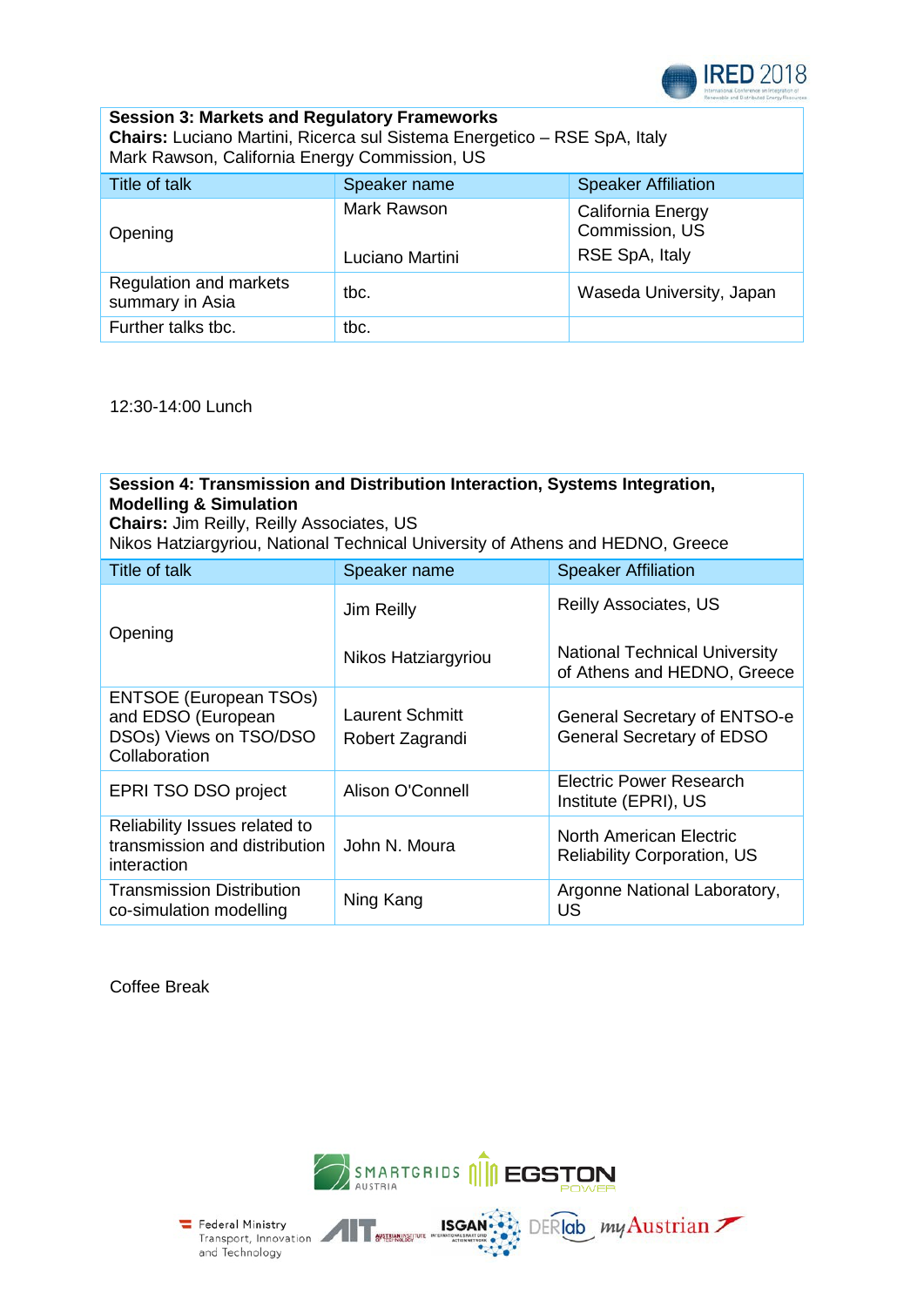

#### **Session 3: Markets and Regulatory Frameworks Chairs:** Luciano Martini, Ricerca sul Sistema Energetico – RSE SpA, Italy Mark Rawson, California Energy Commission, US

| Title of talk                             | Speaker name                   | <b>Speaker Affiliation</b>                            |
|-------------------------------------------|--------------------------------|-------------------------------------------------------|
| Opening                                   | Mark Rawson<br>Luciano Martini | California Energy<br>Commission, US<br>RSE SpA, Italy |
| Regulation and markets<br>summary in Asia | tbc.                           | Waseda University, Japan                              |
| Further talks tbc.                        | tbc.                           |                                                       |

12:30-14:00 Lunch

#### **Session 4: Transmission and Distribution Interaction, Systems Integration, Modelling & Simulation Chairs:** Jim Reilly, Reilly Associates, US Nikos Hatziargyriou, National Technical University of Athens and HEDNO, Greece Title of talk Speaker name Speaker Affiliation Opening Jim Reilly Nikos Hatziargyriou Reilly Associates, US National Technical University of Athens and HEDNO, Greece ENTSOE (European TSOs) and EDSO (European DSOs) Views on TSO/DSO **Collaboration** Laurent Schmitt Robert Zagrandi General Secretary of ENTSO-e General Secretary of EDSO EPRI TSO DSO project Alison O'Connell Electric Power Research Institute (EPRI), US Reliability Issues related to transmission and distribution interaction John N. Moura North American Electric Reliability Corporation, US Transmission Distribution Ning Kang **Argonne National Laboratory**, US

Coffee Break



**ISGAN** 

DERIGb my Austrian

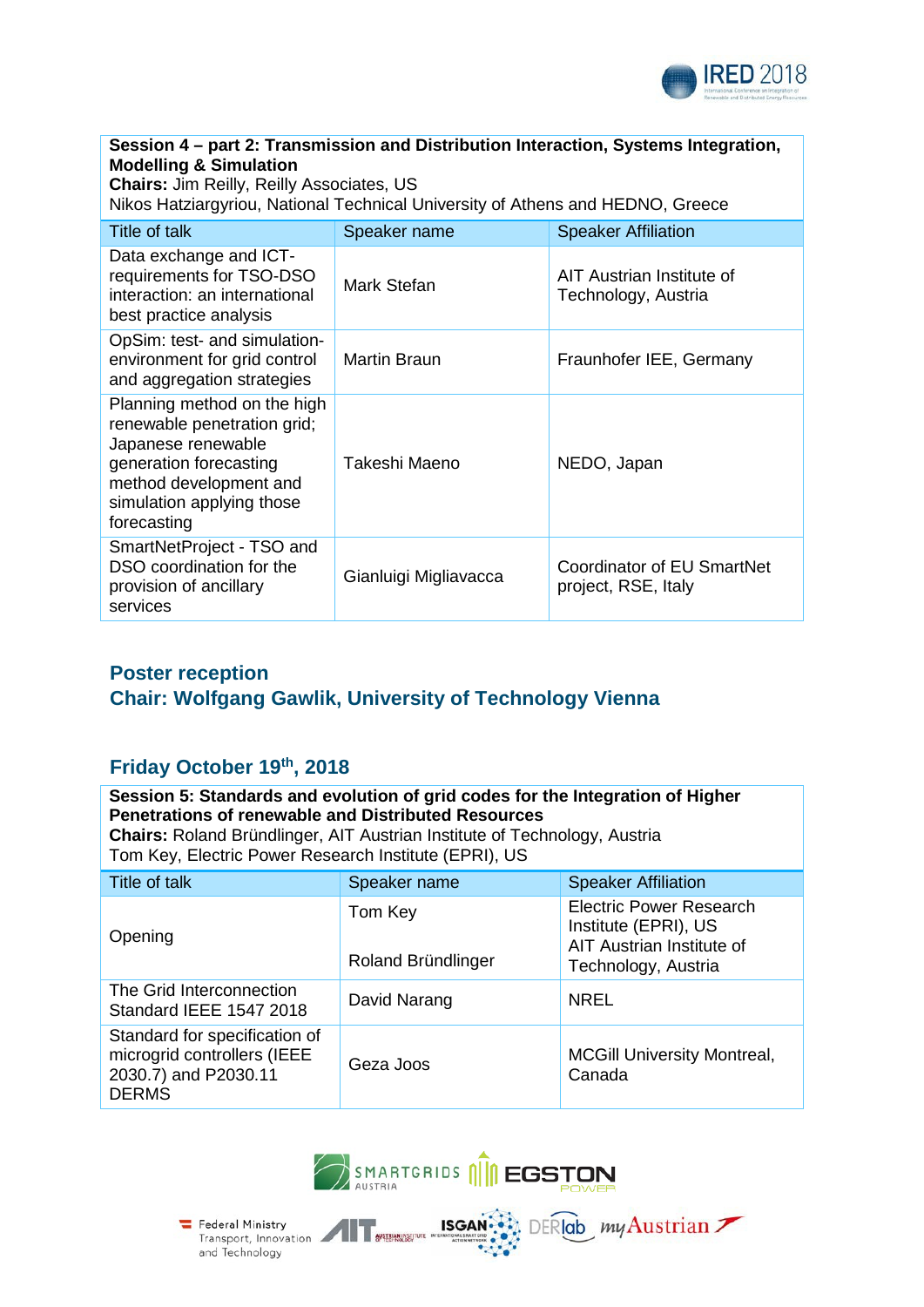

#### **Session 4 – part 2: Transmission and Distribution Interaction, Systems Integration, Modelling & Simulation**

**Chairs:** Jim Reilly, Reilly Associates, US Nikos Hatziargyriou, National Technical University of Athens and HEDNO, Greece

| Title of talk                                                                                                                                                                    | Speaker name          | <b>Speaker Affiliation</b>                        |  |  |
|----------------------------------------------------------------------------------------------------------------------------------------------------------------------------------|-----------------------|---------------------------------------------------|--|--|
| Data exchange and ICT-<br>requirements for TSO-DSO<br>interaction: an international<br>best practice analysis                                                                    | Mark Stefan           | AIT Austrian Institute of<br>Technology, Austria  |  |  |
| OpSim: test- and simulation-<br>environment for grid control<br>and aggregation strategies                                                                                       | <b>Martin Braun</b>   | Fraunhofer IEE, Germany                           |  |  |
| Planning method on the high<br>renewable penetration grid;<br>Japanese renewable<br>generation forecasting<br>method development and<br>simulation applying those<br>forecasting | Takeshi Maeno         | NEDO, Japan                                       |  |  |
| SmartNetProject - TSO and<br>DSO coordination for the<br>provision of ancillary<br>services                                                                                      | Gianluigi Migliavacca | Coordinator of EU SmartNet<br>project, RSE, Italy |  |  |

### **Poster reception Chair: Wolfgang Gawlik, University of Technology Vienna**

### **Friday October 19th, 2018**

| Session 5: Standards and evolution of grid codes for the Integration of Higher<br><b>Penetrations of renewable and Distributed Resources</b><br><b>Chairs: Roland Bründlinger, AIT Austrian Institute of Technology, Austria</b><br>Tom Key, Electric Power Research Institute (EPRI), US |                               |                                                                                                            |  |  |
|-------------------------------------------------------------------------------------------------------------------------------------------------------------------------------------------------------------------------------------------------------------------------------------------|-------------------------------|------------------------------------------------------------------------------------------------------------|--|--|
| Title of talk                                                                                                                                                                                                                                                                             | Speaker name                  | <b>Speaker Affiliation</b>                                                                                 |  |  |
| Opening                                                                                                                                                                                                                                                                                   | Tom Key<br>Roland Bründlinger | <b>Electric Power Research</b><br>Institute (EPRI), US<br>AIT Austrian Institute of<br>Technology, Austria |  |  |
| The Grid Interconnection<br>Standard IEEE 1547 2018                                                                                                                                                                                                                                       | David Narang                  | <b>NREL</b>                                                                                                |  |  |
| Standard for specification of<br>microgrid controllers (IEEE<br>2030.7) and P2030.11<br><b>DERMS</b>                                                                                                                                                                                      | Geza Joos                     | <b>MCGill University Montreal,</b><br>Canada                                                               |  |  |

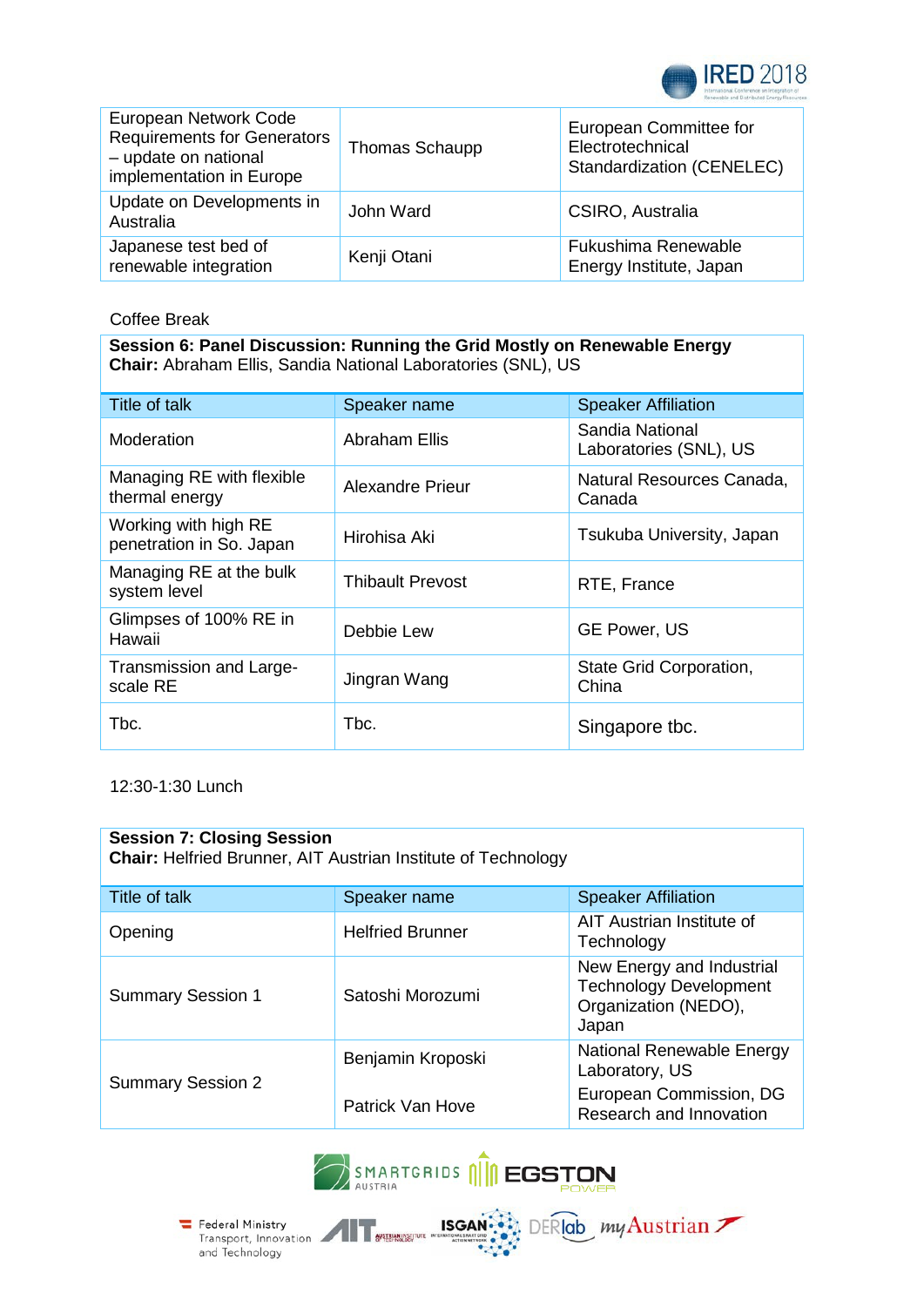

| European Network Code<br><b>Requirements for Generators</b><br>- update on national<br>implementation in Europe | Thomas Schaupp | European Committee for<br>Electrotechnical<br>Standardization (CENELEC) |
|-----------------------------------------------------------------------------------------------------------------|----------------|-------------------------------------------------------------------------|
| Update on Developments in<br>Australia                                                                          | John Ward      | CSIRO, Australia                                                        |
| Japanese test bed of<br>renewable integration                                                                   | Kenji Otani    | Fukushima Renewable<br>Energy Institute, Japan                          |

Coffee Break

**Session 6: Panel Discussion: Running the Grid Mostly on Renewable Energy Chair:** Abraham Ellis, Sandia National Laboratories (SNL), US

| Title of talk                                    | Speaker name            | <b>Speaker Affiliation</b>                |
|--------------------------------------------------|-------------------------|-------------------------------------------|
| Moderation                                       | <b>Abraham Ellis</b>    | Sandia National<br>Laboratories (SNL), US |
| Managing RE with flexible<br>thermal energy      | Alexandre Prieur        | Natural Resources Canada,<br>Canada       |
| Working with high RE<br>penetration in So. Japan | Hirohisa Aki            | Tsukuba University, Japan                 |
| Managing RE at the bulk<br>system level          | <b>Thibault Prevost</b> | RTE, France                               |
| Glimpses of 100% RE in<br>Hawaii                 | Debbie Lew              | <b>GE Power, US</b>                       |
| Transmission and Large-<br>scale RE              | Jingran Wang            | State Grid Corporation,<br>China          |
| Tbc.                                             | Tbc.                    | Singapore tbc.                            |

12:30-1:30 Lunch

| <b>Session 7: Closing Session</b><br>Chair: Helfried Brunner, AIT Austrian Institute of Technology |                         |                                                                                             |  |  |
|----------------------------------------------------------------------------------------------------|-------------------------|---------------------------------------------------------------------------------------------|--|--|
| Title of talk                                                                                      | Speaker name            | <b>Speaker Affiliation</b>                                                                  |  |  |
| Opening                                                                                            | <b>Helfried Brunner</b> | AIT Austrian Institute of<br>Technology                                                     |  |  |
| <b>Summary Session 1</b>                                                                           | Satoshi Morozumi        | New Energy and Industrial<br><b>Technology Development</b><br>Organization (NEDO),<br>Japan |  |  |
|                                                                                                    | Benjamin Kroposki       | National Renewable Energy<br>Laboratory, US                                                 |  |  |
| <b>Summary Session 2</b>                                                                           | Patrick Van Hove        | European Commission, DG<br>Research and Innovation                                          |  |  |



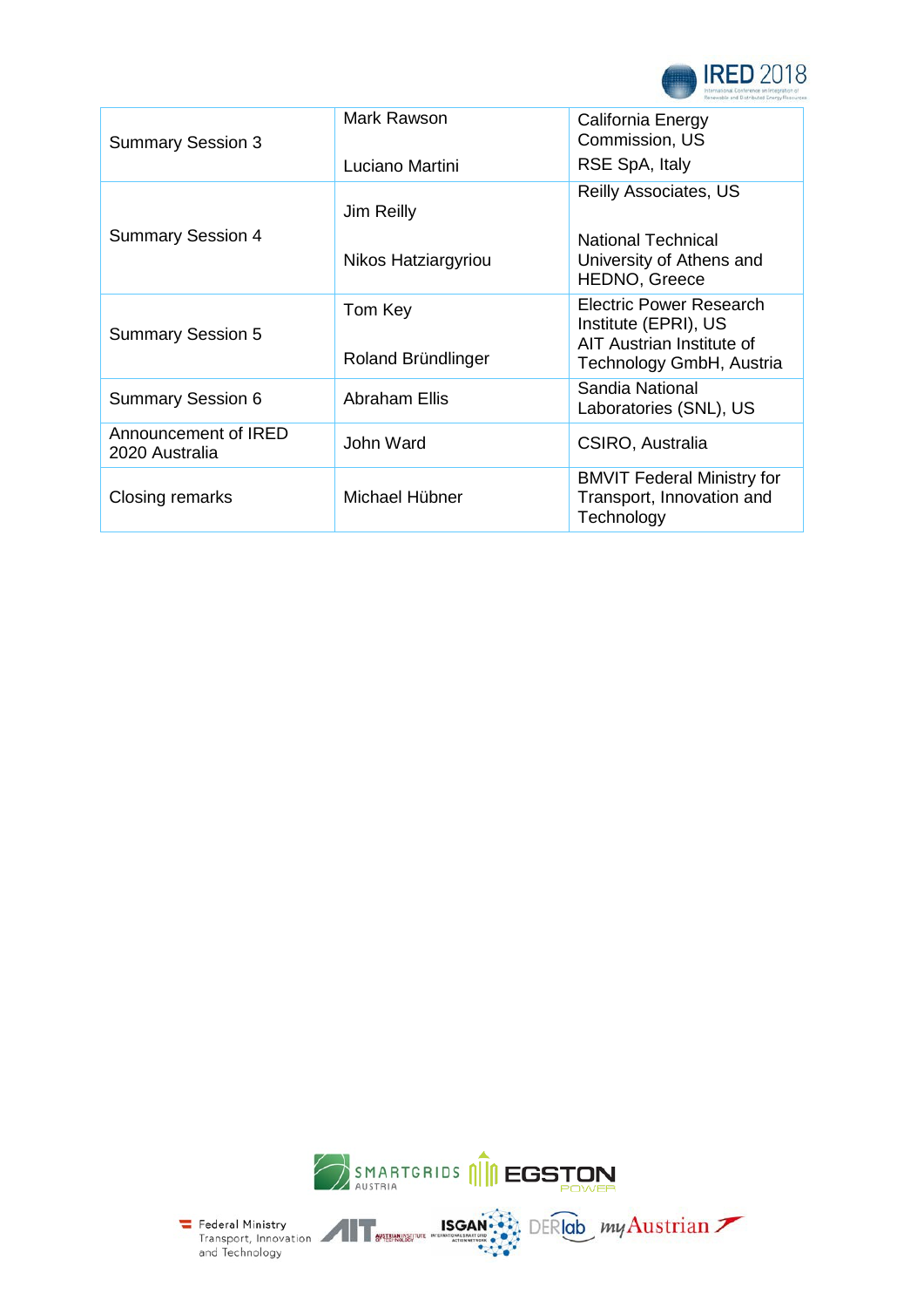

| <b>Summary Session 3</b>               | Mark Rawson                   | California Energy<br>Commission, US                                                                      |
|----------------------------------------|-------------------------------|----------------------------------------------------------------------------------------------------------|
|                                        | Luciano Martini               | RSE SpA, Italy                                                                                           |
|                                        | Jim Reilly                    | <b>Reilly Associates, US</b>                                                                             |
| <b>Summary Session 4</b>               | Nikos Hatziargyriou           | <b>National Technical</b><br>University of Athens and<br><b>HEDNO, Greece</b>                            |
| <b>Summary Session 5</b>               | Tom Key<br>Roland Bründlinger | Electric Power Research<br>Institute (EPRI), US<br>AIT Austrian Institute of<br>Technology GmbH, Austria |
| <b>Summary Session 6</b>               | <b>Abraham Ellis</b>          | Sandia National<br>Laboratories (SNL), US                                                                |
| Announcement of IRED<br>2020 Australia | John Ward                     | CSIRO, Australia                                                                                         |
| Closing remarks                        | Michael Hübner                | <b>BMVIT Federal Ministry for</b><br>Transport, Innovation and<br>Technology                             |



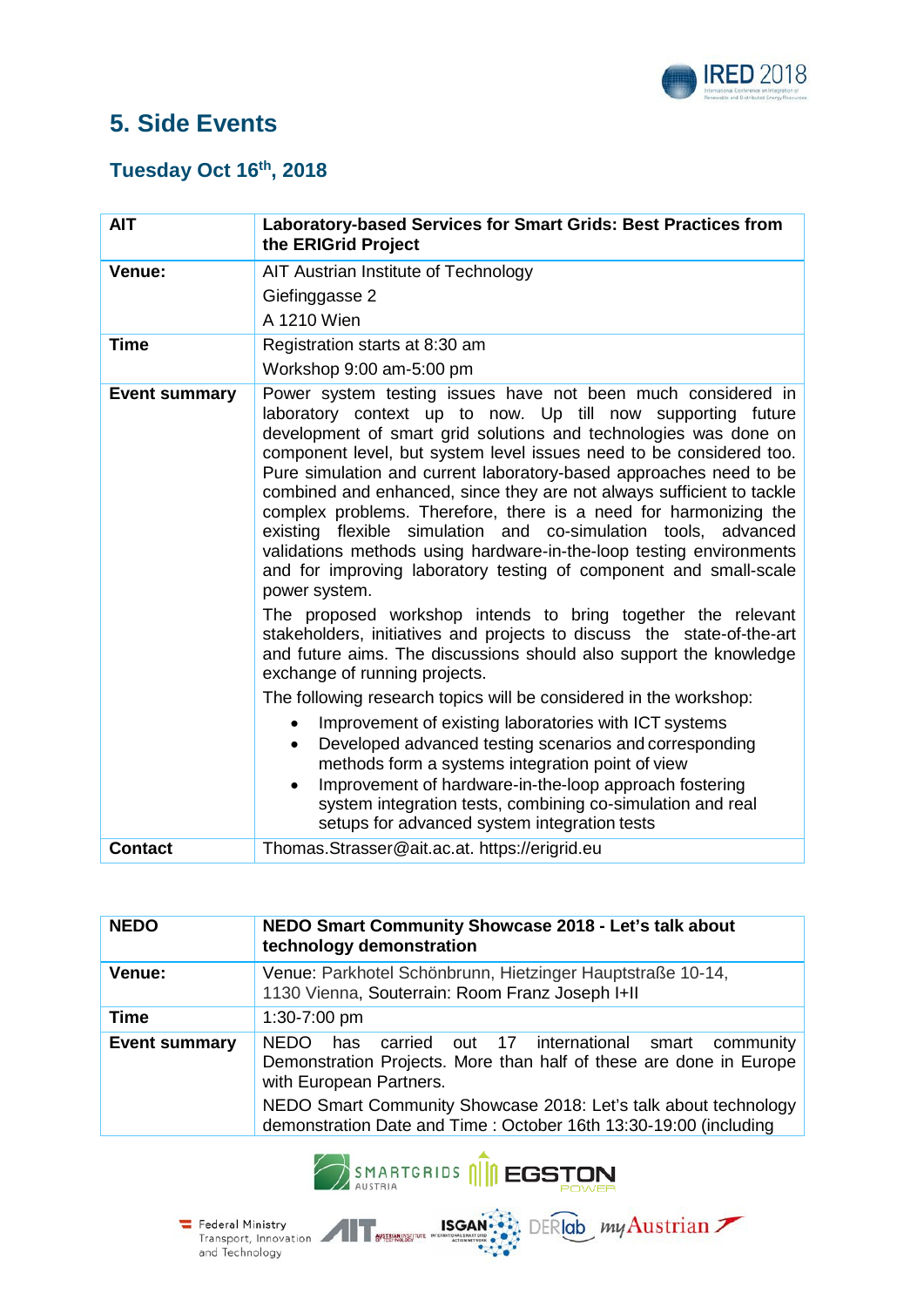

# **5. Side Events**

### **Tuesday Oct 16th, 2018**

| <b>AIT</b>           | Laboratory-based Services for Smart Grids: Best Practices from<br>the ERIGrid Project                                                                                                                                                                                                                                                                                                                                                                                                                                                                                                                                                                                                                                                                                                                                                                                                                                                                                                                                                                                                                                                                                                                                                                                                                                                                                                                      |
|----------------------|------------------------------------------------------------------------------------------------------------------------------------------------------------------------------------------------------------------------------------------------------------------------------------------------------------------------------------------------------------------------------------------------------------------------------------------------------------------------------------------------------------------------------------------------------------------------------------------------------------------------------------------------------------------------------------------------------------------------------------------------------------------------------------------------------------------------------------------------------------------------------------------------------------------------------------------------------------------------------------------------------------------------------------------------------------------------------------------------------------------------------------------------------------------------------------------------------------------------------------------------------------------------------------------------------------------------------------------------------------------------------------------------------------|
| Venue:               | AIT Austrian Institute of Technology<br>Giefinggasse 2<br>A 1210 Wien                                                                                                                                                                                                                                                                                                                                                                                                                                                                                                                                                                                                                                                                                                                                                                                                                                                                                                                                                                                                                                                                                                                                                                                                                                                                                                                                      |
| <b>Time</b>          | Registration starts at 8:30 am<br>Workshop 9:00 am-5:00 pm                                                                                                                                                                                                                                                                                                                                                                                                                                                                                                                                                                                                                                                                                                                                                                                                                                                                                                                                                                                                                                                                                                                                                                                                                                                                                                                                                 |
| <b>Event summary</b> | Power system testing issues have not been much considered in<br>laboratory context up to now. Up till now supporting future<br>development of smart grid solutions and technologies was done on<br>component level, but system level issues need to be considered too.<br>Pure simulation and current laboratory-based approaches need to be<br>combined and enhanced, since they are not always sufficient to tackle<br>complex problems. Therefore, there is a need for harmonizing the<br>existing flexible simulation and co-simulation tools, advanced<br>validations methods using hardware-in-the-loop testing environments<br>and for improving laboratory testing of component and small-scale<br>power system.<br>The proposed workshop intends to bring together the relevant<br>stakeholders, initiatives and projects to discuss the state-of-the-art<br>and future aims. The discussions should also support the knowledge<br>exchange of running projects.<br>The following research topics will be considered in the workshop:<br>Improvement of existing laboratories with ICT systems<br>Developed advanced testing scenarios and corresponding<br>methods form a systems integration point of view<br>Improvement of hardware-in-the-loop approach fostering<br>$\bullet$<br>system integration tests, combining co-simulation and real<br>setups for advanced system integration tests |
| <b>Contact</b>       | Thomas.Strasser@ait.ac.at. https://erigrid.eu                                                                                                                                                                                                                                                                                                                                                                                                                                                                                                                                                                                                                                                                                                                                                                                                                                                                                                                                                                                                                                                                                                                                                                                                                                                                                                                                                              |

| <b>NEDO</b>          | NEDO Smart Community Showcase 2018 - Let's talk about<br>technology demonstration                                                                                                                                                |  |
|----------------------|----------------------------------------------------------------------------------------------------------------------------------------------------------------------------------------------------------------------------------|--|
| Venue:               | Venue: Parkhotel Schönbrunn, Hietzinger Hauptstraße 10-14,<br>1130 Vienna, Souterrain: Room Franz Joseph I+II                                                                                                                    |  |
| Time                 | 1:30-7:00 pm                                                                                                                                                                                                                     |  |
| <b>Event summary</b> | NFDO.<br>carried out 17 international smart community<br>has<br>Demonstration Projects. More than half of these are done in Europe<br>with European Partners.<br>NEDO Smart Community Showcase 2018: Let's talk about technology |  |
|                      | demonstration Date and Time: October 16th 13:30-19:00 (including                                                                                                                                                                 |  |



Federal Ministry<br>Transport, Innovation<br>and Technology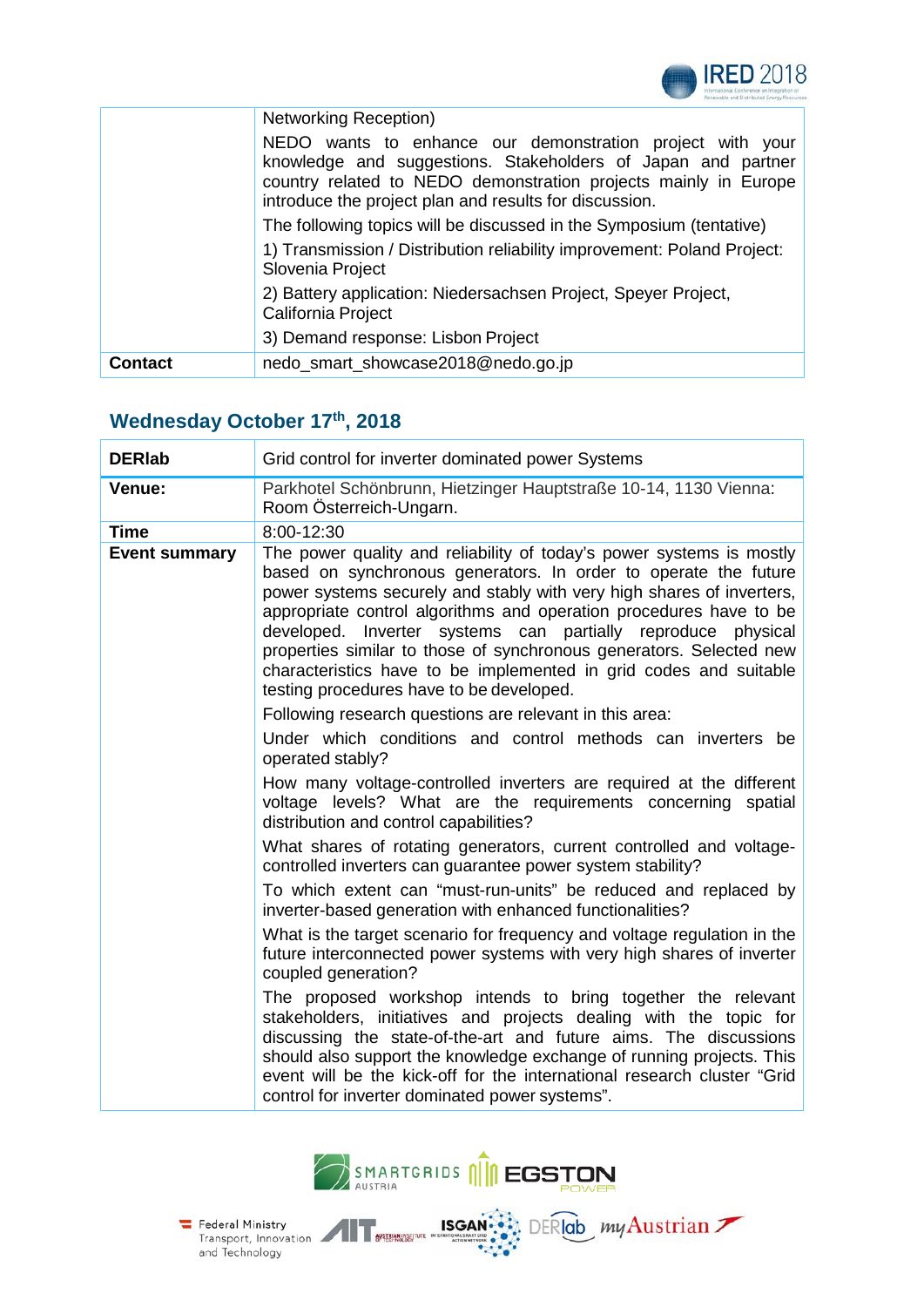

|                | <b>Networking Reception)</b>                                                                                                                                                                                                                           |
|----------------|--------------------------------------------------------------------------------------------------------------------------------------------------------------------------------------------------------------------------------------------------------|
|                | NEDO wants to enhance our demonstration project with your<br>knowledge and suggestions. Stakeholders of Japan and partner<br>country related to NEDO demonstration projects mainly in Europe<br>introduce the project plan and results for discussion. |
|                | The following topics will be discussed in the Symposium (tentative)                                                                                                                                                                                    |
|                | 1) Transmission / Distribution reliability improvement: Poland Project:<br>Slovenia Project                                                                                                                                                            |
|                | 2) Battery application: Niedersachsen Project, Speyer Project,<br>California Project                                                                                                                                                                   |
|                | 3) Demand response: Lisbon Project                                                                                                                                                                                                                     |
| <b>Contact</b> | nedo_smart_showcase2018@nedo.go.jp                                                                                                                                                                                                                     |

## Wednesday October 17th, 2018

| <b>DERIab</b>        | Grid control for inverter dominated power Systems                                                                                                                                                                                                                                                                                                                                                                                                                                                                                              |
|----------------------|------------------------------------------------------------------------------------------------------------------------------------------------------------------------------------------------------------------------------------------------------------------------------------------------------------------------------------------------------------------------------------------------------------------------------------------------------------------------------------------------------------------------------------------------|
| Venue:               | Parkhotel Schönbrunn, Hietzinger Hauptstraße 10-14, 1130 Vienna:<br>Room Österreich-Ungarn.                                                                                                                                                                                                                                                                                                                                                                                                                                                    |
| Time                 | 8:00-12:30                                                                                                                                                                                                                                                                                                                                                                                                                                                                                                                                     |
| <b>Event summary</b> | The power quality and reliability of today's power systems is mostly<br>based on synchronous generators. In order to operate the future<br>power systems securely and stably with very high shares of inverters,<br>appropriate control algorithms and operation procedures have to be<br>developed. Inverter systems can partially reproduce physical<br>properties similar to those of synchronous generators. Selected new<br>characteristics have to be implemented in grid codes and suitable<br>testing procedures have to be developed. |
|                      | Following research questions are relevant in this area:                                                                                                                                                                                                                                                                                                                                                                                                                                                                                        |
|                      | Under which conditions and control methods can inverters be<br>operated stably?                                                                                                                                                                                                                                                                                                                                                                                                                                                                |
|                      | How many voltage-controlled inverters are required at the different<br>voltage levels? What are the requirements concerning spatial<br>distribution and control capabilities?                                                                                                                                                                                                                                                                                                                                                                  |
|                      | What shares of rotating generators, current controlled and voltage-<br>controlled inverters can guarantee power system stability?                                                                                                                                                                                                                                                                                                                                                                                                              |
|                      | To which extent can "must-run-units" be reduced and replaced by<br>inverter-based generation with enhanced functionalities?                                                                                                                                                                                                                                                                                                                                                                                                                    |
|                      | What is the target scenario for frequency and voltage regulation in the<br>future interconnected power systems with very high shares of inverter<br>coupled generation?                                                                                                                                                                                                                                                                                                                                                                        |
|                      | The proposed workshop intends to bring together the relevant<br>stakeholders, initiatives and projects dealing with the topic for<br>discussing the state-of-the-art and future aims. The discussions<br>should also support the knowledge exchange of running projects. This<br>event will be the kick-off for the international research cluster "Grid<br>control for inverter dominated power systems".                                                                                                                                     |

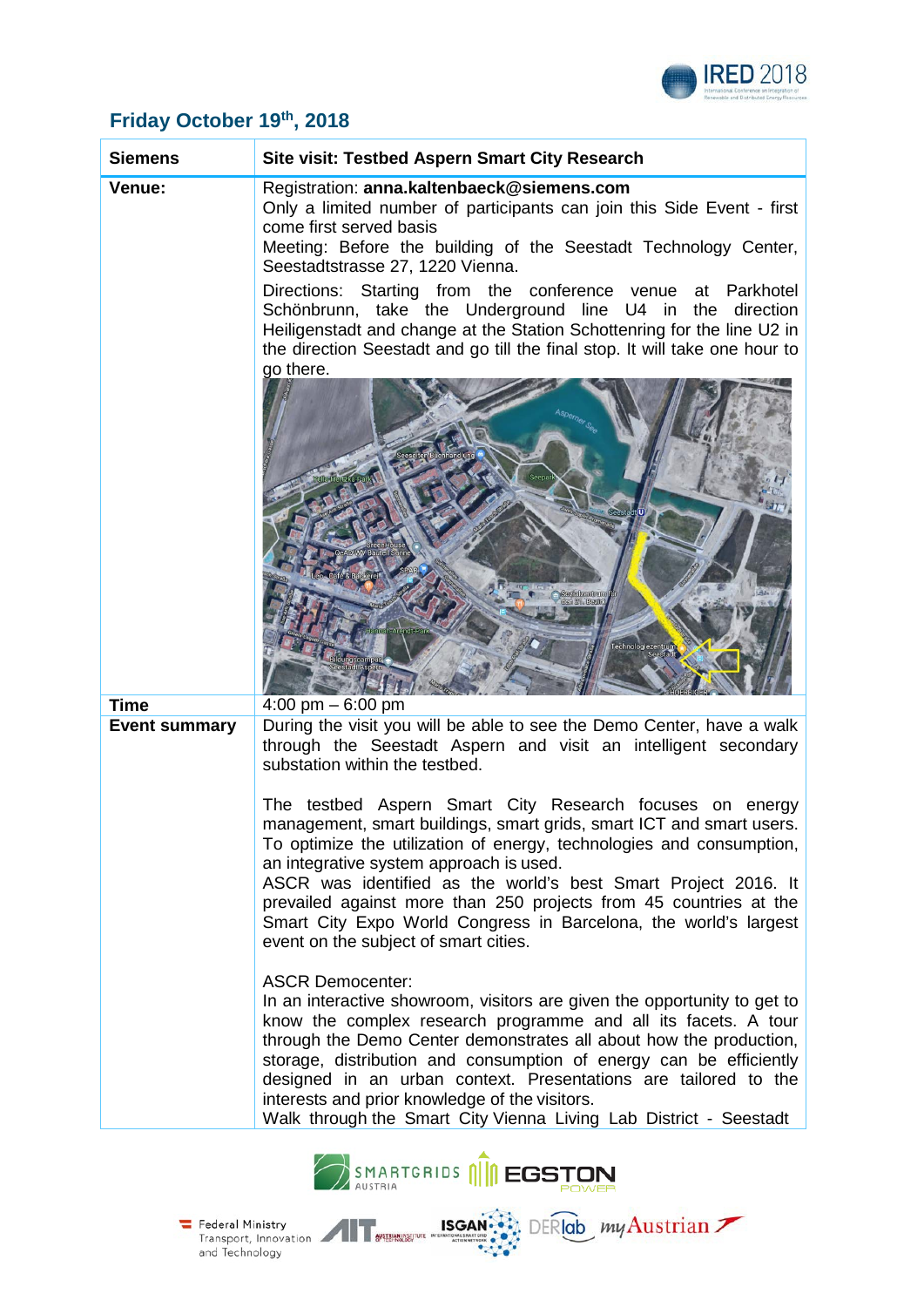

### **Friday October 19th, 2018**

| <b>Siemens</b>       | <b>Site visit: Testbed Aspern Smart City Research</b>                                                                                                                                                                                                                                                                                                                                                                                                                                                       |
|----------------------|-------------------------------------------------------------------------------------------------------------------------------------------------------------------------------------------------------------------------------------------------------------------------------------------------------------------------------------------------------------------------------------------------------------------------------------------------------------------------------------------------------------|
| Venue:               | Registration: anna.kaltenbaeck@siemens.com<br>Only a limited number of participants can join this Side Event - first<br>come first served basis<br>Meeting: Before the building of the Seestadt Technology Center,<br>Seestadtstrasse 27, 1220 Vienna.                                                                                                                                                                                                                                                      |
|                      | Directions: Starting from the conference venue at Parkhotel<br>Schönbrunn, take the Underground line U4 in the direction<br>Heiligenstadt and change at the Station Schottenring for the line U2 in<br>the direction Seestadt and go till the final stop. It will take one hour to<br>go there.                                                                                                                                                                                                             |
|                      | sperner S<br>eese ten Buchhandlung<br><b>Seestadt</b> <sup>O</sup><br>nnah Arendt-Pari<br>Technologiezentrum                                                                                                                                                                                                                                                                                                                                                                                                |
| <b>Time</b>          | 4:00 pm $-6:00$ pm                                                                                                                                                                                                                                                                                                                                                                                                                                                                                          |
| <b>Event summary</b> | During the visit you will be able to see the Demo Center, have a walk<br>through the Seestadt Aspern and visit an intelligent secondary<br>substation within the testbed.                                                                                                                                                                                                                                                                                                                                   |
|                      | The testbed Aspern Smart City Research focuses on energy<br>management, smart buildings, smart grids, smart ICT and smart users.<br>To optimize the utilization of energy, technologies and consumption,<br>an integrative system approach is used.<br>ASCR was identified as the world's best Smart Project 2016. It<br>prevailed against more than 250 projects from 45 countries at the<br>Smart City Expo World Congress in Barcelona, the world's largest<br>event on the subject of smart cities.     |
|                      | <b>ASCR Democenter:</b><br>In an interactive showroom, visitors are given the opportunity to get to<br>know the complex research programme and all its facets. A tour<br>through the Demo Center demonstrates all about how the production,<br>storage, distribution and consumption of energy can be efficiently<br>designed in an urban context. Presentations are tailored to the<br>interests and prior knowledge of the visitors.<br>Walk through the Smart City Vienna Living Lab District - Seestadt |
|                      |                                                                                                                                                                                                                                                                                                                                                                                                                                                                                                             |



and Technology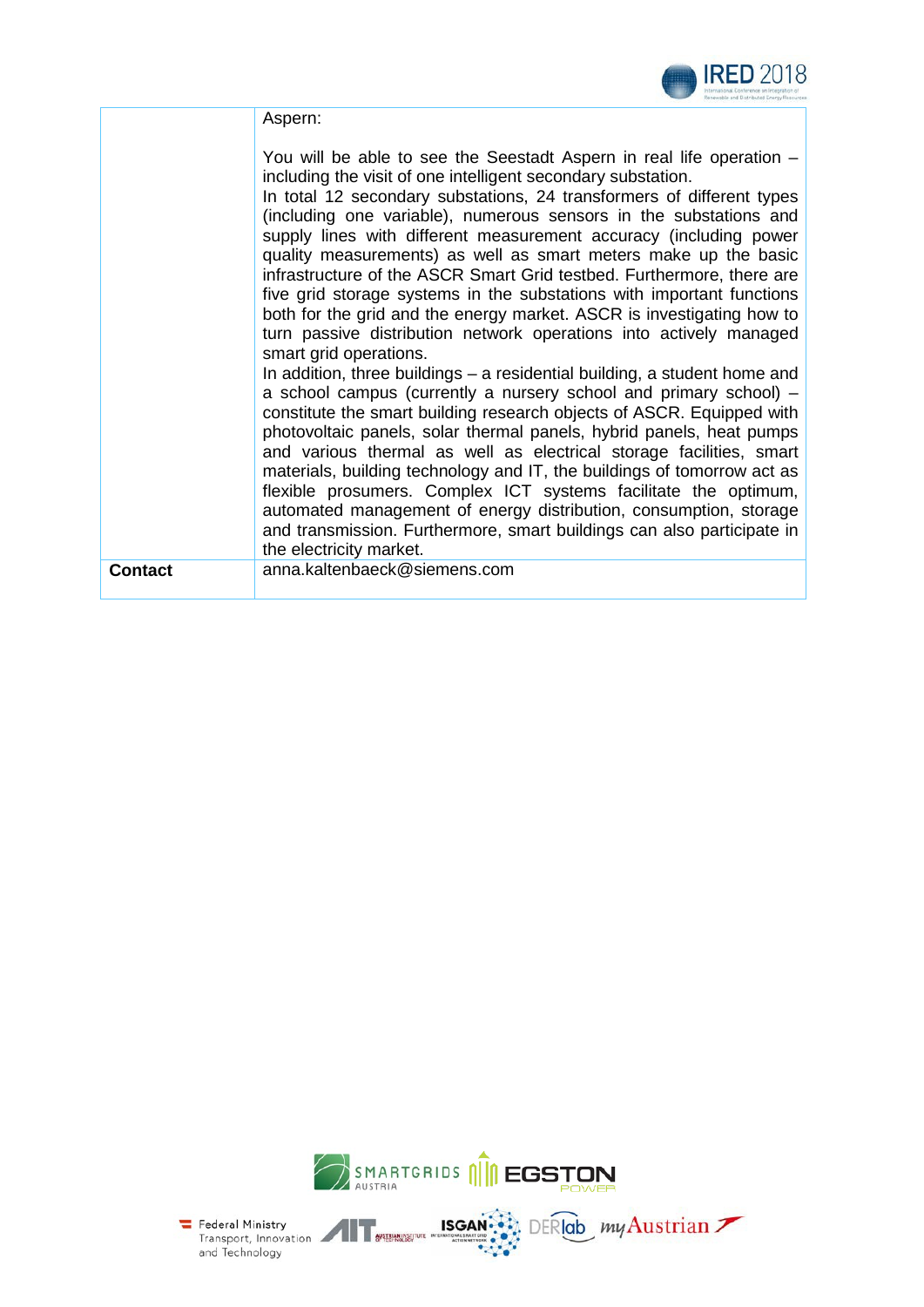

Aspern:

|                | You will be able to see the Seestadt Aspern in real life operation -<br>including the visit of one intelligent secondary substation.<br>In total 12 secondary substations, 24 transformers of different types<br>(including one variable), numerous sensors in the substations and<br>supply lines with different measurement accuracy (including power<br>quality measurements) as well as smart meters make up the basic<br>infrastructure of the ASCR Smart Grid testbed. Furthermore, there are<br>five grid storage systems in the substations with important functions<br>both for the grid and the energy market. ASCR is investigating how to<br>turn passive distribution network operations into actively managed<br>smart grid operations.<br>In addition, three buildings – a residential building, a student home and<br>a school campus (currently a nursery school and primary school) -<br>constitute the smart building research objects of ASCR. Equipped with<br>photovoltaic panels, solar thermal panels, hybrid panels, heat pumps<br>and various thermal as well as electrical storage facilities, smart<br>materials, building technology and IT, the buildings of tomorrow act as<br>flexible prosumers. Complex ICT systems facilitate the optimum,<br>automated management of energy distribution, consumption, storage<br>and transmission. Furthermore, smart buildings can also participate in<br>the electricity market. |
|----------------|---------------------------------------------------------------------------------------------------------------------------------------------------------------------------------------------------------------------------------------------------------------------------------------------------------------------------------------------------------------------------------------------------------------------------------------------------------------------------------------------------------------------------------------------------------------------------------------------------------------------------------------------------------------------------------------------------------------------------------------------------------------------------------------------------------------------------------------------------------------------------------------------------------------------------------------------------------------------------------------------------------------------------------------------------------------------------------------------------------------------------------------------------------------------------------------------------------------------------------------------------------------------------------------------------------------------------------------------------------------------------------------------------------------------------------------------------------|
| <b>Contact</b> | anna.kaltenbaeck@siemens.com                                                                                                                                                                                                                                                                                                                                                                                                                                                                                                                                                                                                                                                                                                                                                                                                                                                                                                                                                                                                                                                                                                                                                                                                                                                                                                                                                                                                                            |



Federal Ministry<br>Transport, Innovation<br>and Technology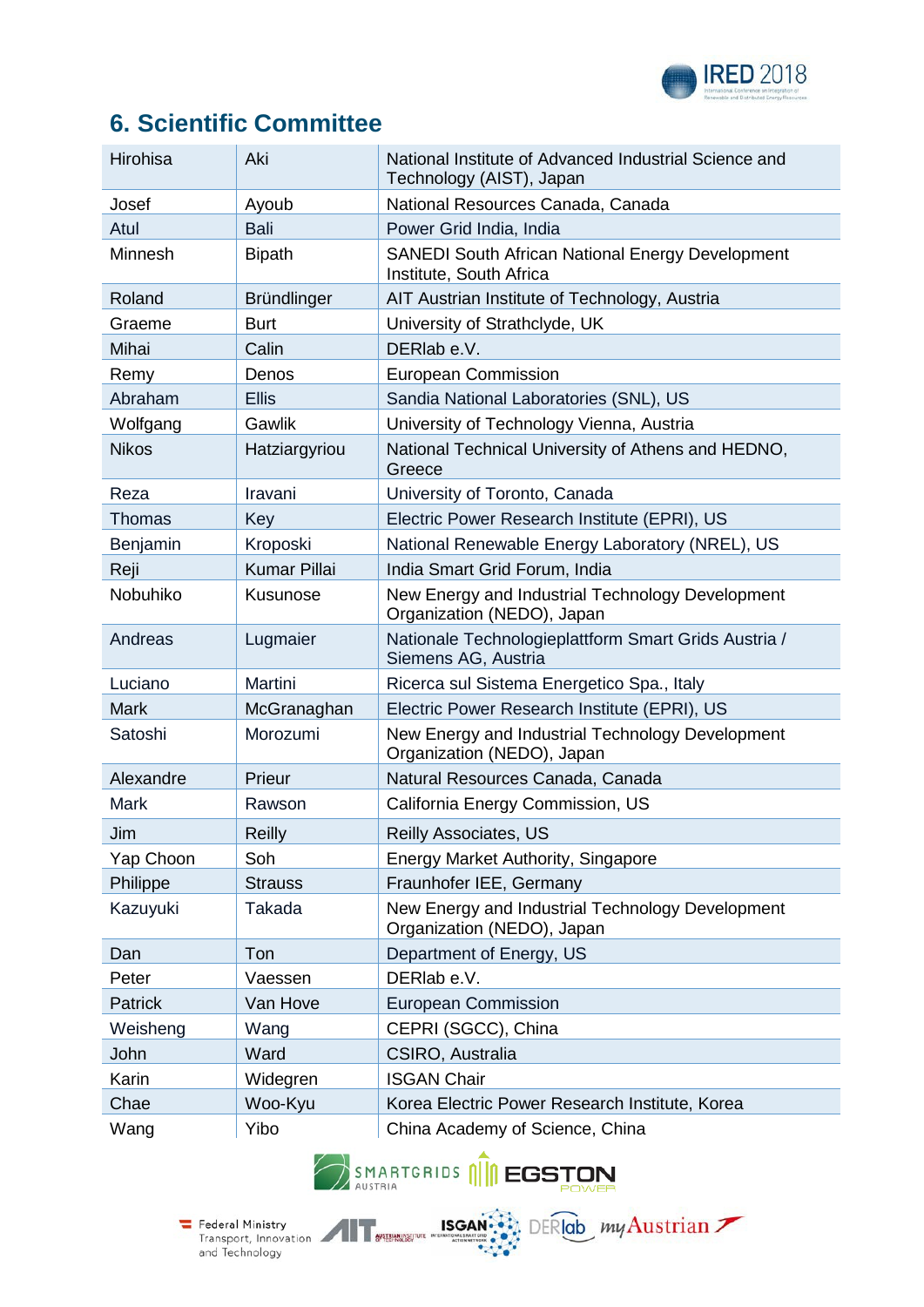

# **6. Scientific Committee**

| Hirohisa      | Aki                 | National Institute of Advanced Industrial Science and<br>Technology (AIST), Japan |
|---------------|---------------------|-----------------------------------------------------------------------------------|
| Josef         | Ayoub               | National Resources Canada, Canada                                                 |
| Atul          | <b>Bali</b>         | Power Grid India, India                                                           |
| Minnesh       | <b>Bipath</b>       | SANEDI South African National Energy Development<br>Institute, South Africa       |
| Roland        | Bründlinger         | AIT Austrian Institute of Technology, Austria                                     |
| Graeme        | <b>Burt</b>         | University of Strathclyde, UK                                                     |
| Mihai         | Calin               | DERIab e.V.                                                                       |
| Remy          | Denos               | <b>European Commission</b>                                                        |
| Abraham       | <b>Ellis</b>        | Sandia National Laboratories (SNL), US                                            |
| Wolfgang      | Gawlik              | University of Technology Vienna, Austria                                          |
| <b>Nikos</b>  | Hatziargyriou       | National Technical University of Athens and HEDNO,<br>Greece                      |
| Reza          | Iravani             | University of Toronto, Canada                                                     |
| <b>Thomas</b> | Key                 | Electric Power Research Institute (EPRI), US                                      |
| Benjamin      | Kroposki            | National Renewable Energy Laboratory (NREL), US                                   |
| Reji          | <b>Kumar Pillai</b> | India Smart Grid Forum, India                                                     |
| Nobuhiko      | Kusunose            | New Energy and Industrial Technology Development<br>Organization (NEDO), Japan    |
| Andreas       | Lugmaier            | Nationale Technologieplattform Smart Grids Austria /<br>Siemens AG, Austria       |
| Luciano       | Martini             | Ricerca sul Sistema Energetico Spa., Italy                                        |
| <b>Mark</b>   | McGranaghan         | Electric Power Research Institute (EPRI), US                                      |
| Satoshi       | Morozumi            | New Energy and Industrial Technology Development<br>Organization (NEDO), Japan    |
| Alexandre     | Prieur              | Natural Resources Canada, Canada                                                  |
| <b>Mark</b>   | Rawson              | California Energy Commission, US                                                  |
| Jim           | <b>Reilly</b>       | <b>Reilly Associates, US</b>                                                      |
| Yap Choon     | Soh                 | <b>Energy Market Authority, Singapore</b>                                         |
| Philippe      | <b>Strauss</b>      | Fraunhofer IEE, Germany                                                           |
| Kazuyuki      | Takada              | New Energy and Industrial Technology Development<br>Organization (NEDO), Japan    |
| Dan           | Ton                 | Department of Energy, US                                                          |
| Peter         | Vaessen             | DERIab e.V.                                                                       |
| Patrick       | Van Hove            | <b>European Commission</b>                                                        |
| Weisheng      | Wang                | CEPRI (SGCC), China                                                               |
| John          | Ward                | CSIRO, Australia                                                                  |
| Karin         | Widegren            | <b>ISGAN Chair</b>                                                                |
| Chae          | Woo-Kyu             | Korea Electric Power Research Institute, Korea                                    |
| Wang          | Yibo                | China Academy of Science, China                                                   |



Federal Ministry<br>Transport, Innovation<br>and Technology<br>and Technology